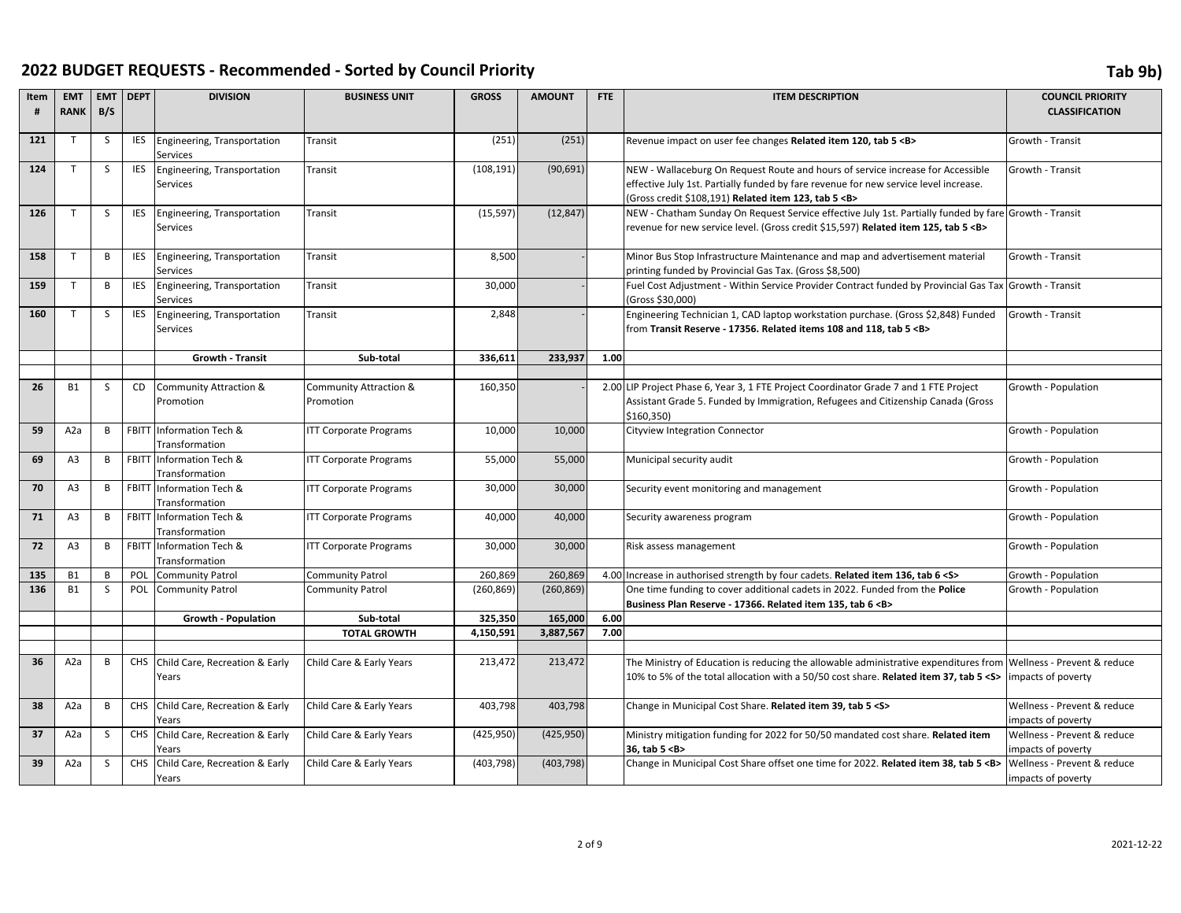| <b>CLASSIFICATION</b>                                                                                                                                       |
|-------------------------------------------------------------------------------------------------------------------------------------------------------------|
|                                                                                                                                                             |
| Growth - Transit                                                                                                                                            |
|                                                                                                                                                             |
| Growth - Transit                                                                                                                                            |
|                                                                                                                                                             |
|                                                                                                                                                             |
| NEW - Chatham Sunday On Request Service effective July 1st. Partially funded by fare Growth - Transit                                                       |
|                                                                                                                                                             |
|                                                                                                                                                             |
| Growth - Transit                                                                                                                                            |
|                                                                                                                                                             |
| Fuel Cost Adjustment - Within Service Provider Contract funded by Provincial Gas Tax Growth - Transit                                                       |
|                                                                                                                                                             |
| Growth - Transit                                                                                                                                            |
|                                                                                                                                                             |
|                                                                                                                                                             |
|                                                                                                                                                             |
|                                                                                                                                                             |
| Growth - Population                                                                                                                                         |
|                                                                                                                                                             |
|                                                                                                                                                             |
| Growth - Population                                                                                                                                         |
|                                                                                                                                                             |
| Growth - Population                                                                                                                                         |
|                                                                                                                                                             |
|                                                                                                                                                             |
|                                                                                                                                                             |
|                                                                                                                                                             |
|                                                                                                                                                             |
|                                                                                                                                                             |
|                                                                                                                                                             |
|                                                                                                                                                             |
|                                                                                                                                                             |
|                                                                                                                                                             |
|                                                                                                                                                             |
|                                                                                                                                                             |
| Wellness - Prevent & reduce                                                                                                                                 |
|                                                                                                                                                             |
|                                                                                                                                                             |
| Wellness - Prevent & reduce                                                                                                                                 |
|                                                                                                                                                             |
| Wellness - Prevent & reduce                                                                                                                                 |
| impacts of poverty                                                                                                                                          |
| Wellness - Prevent & reduce                                                                                                                                 |
| impacts of poverty                                                                                                                                          |
| Growth - Population<br>Growth - Population<br>Growth - Population<br>Growth - Population<br>Growth - Population<br>impacts of poverty<br>impacts of poverty |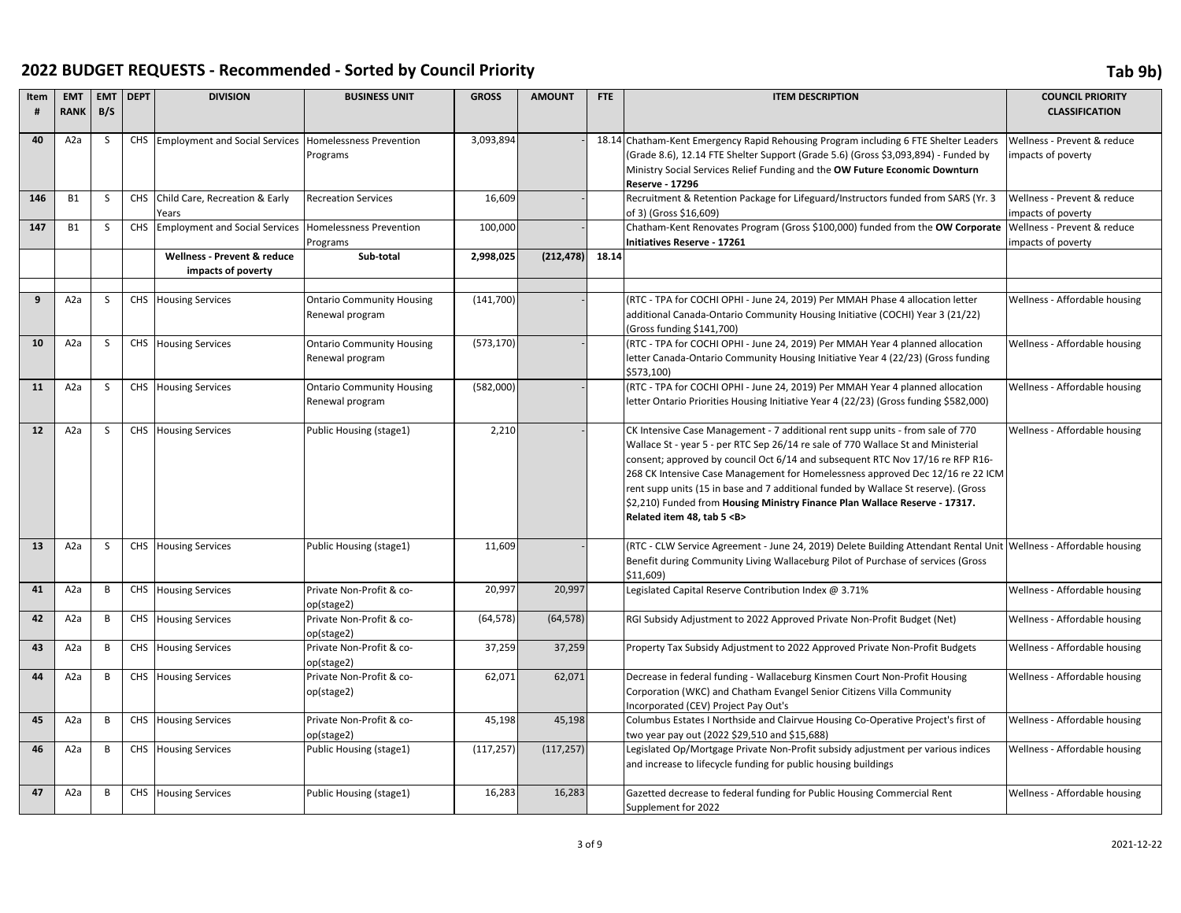| Item | <b>EMT</b>       | <b>EMT</b>   | <b>DEPT</b> | <b>DIVISION</b>                    | <b>BUSINESS UNIT</b>                   | <b>GROSS</b> | <b>AMOUNT</b> | <b>FTE</b> | <b>ITEM DESCRIPTION</b>                                                                                                                                              | <b>COUNCIL PRIORITY</b>       |
|------|------------------|--------------|-------------|------------------------------------|----------------------------------------|--------------|---------------|------------|----------------------------------------------------------------------------------------------------------------------------------------------------------------------|-------------------------------|
| #    | <b>RANK</b>      | B/S          |             |                                    |                                        |              |               |            |                                                                                                                                                                      | <b>CLASSIFICATION</b>         |
| 40   | A <sub>2</sub> a | <sub>S</sub> |             | CHS Employment and Social Services | <b>Homelessness Prevention</b>         | 3,093,894    |               |            | 18.14 Chatham-Kent Emergency Rapid Rehousing Program including 6 FTE Shelter Leaders                                                                                 | Wellness - Prevent & reduce   |
|      |                  |              |             |                                    | Programs                               |              |               |            | (Grade 8.6), 12.14 FTE Shelter Support (Grade 5.6) (Gross \$3,093,894) - Funded by                                                                                   | impacts of poverty            |
|      |                  |              |             |                                    |                                        |              |               |            | Ministry Social Services Relief Funding and the OW Future Economic Downturn<br><b>Reserve - 17296</b>                                                                |                               |
| 146  | <b>B1</b>        | S            |             | CHS Child Care, Recreation & Early | <b>Recreation Services</b>             | 16,609       |               |            | Recruitment & Retention Package for Lifeguard/Instructors funded from SARS (Yr. 3                                                                                    | Wellness - Prevent & reduce   |
|      |                  |              |             | Years                              |                                        |              |               |            | of 3) (Gross \$16,609)                                                                                                                                               | impacts of poverty            |
| 147  | <b>B1</b>        | S            |             | CHS Employment and Social Services | <b>Homelessness Prevention</b>         | 100,000      |               |            | Chatham-Kent Renovates Program (Gross \$100,000) funded from the OW Corporate                                                                                        | Wellness - Prevent & reduce   |
|      |                  |              |             |                                    | Programs                               |              |               |            | Initiatives Reserve - 17261                                                                                                                                          | impacts of poverty            |
|      |                  |              |             | Wellness - Prevent & reduce        | Sub-total                              | 2,998,025    | (212, 478)    | 18.14      |                                                                                                                                                                      |                               |
|      |                  |              |             | impacts of poverty                 |                                        |              |               |            |                                                                                                                                                                      |                               |
| 9    | A <sub>2</sub> a | -S           |             | CHS Housing Services               | <b>Ontario Community Housing</b>       | (141,700)    |               |            | (RTC - TPA for COCHI OPHI - June 24, 2019) Per MMAH Phase 4 allocation letter                                                                                        | Wellness - Affordable housing |
|      |                  |              |             |                                    | Renewal program                        |              |               |            | additional Canada-Ontario Community Housing Initiative (COCHI) Year 3 (21/22)                                                                                        |                               |
|      |                  |              |             |                                    |                                        |              |               |            | (Gross funding \$141,700)                                                                                                                                            |                               |
| 10   | A <sub>2</sub> a | S.           |             | CHS Housing Services               | <b>Ontario Community Housing</b>       | (573, 170)   |               |            | (RTC - TPA for COCHI OPHI - June 24, 2019) Per MMAH Year 4 planned allocation                                                                                        | Wellness - Affordable housing |
|      |                  |              |             |                                    | Renewal program                        |              |               |            | letter Canada-Ontario Community Housing Initiative Year 4 (22/23) (Gross funding                                                                                     |                               |
| 11   | A <sub>2</sub> a | S            |             | CHS Housing Services               | <b>Ontario Community Housing</b>       | (582,000)    |               |            | \$573,100)<br>(RTC - TPA for COCHI OPHI - June 24, 2019) Per MMAH Year 4 planned allocation                                                                          | Wellness - Affordable housing |
|      |                  |              |             |                                    | Renewal program                        |              |               |            | letter Ontario Priorities Housing Initiative Year 4 (22/23) (Gross funding \$582,000)                                                                                |                               |
|      |                  |              |             |                                    |                                        |              |               |            |                                                                                                                                                                      |                               |
| 12   | A <sub>2</sub> a | S            |             | CHS Housing Services               | Public Housing (stage1)                | 2,210        |               |            | CK Intensive Case Management - 7 additional rent supp units - from sale of 770                                                                                       | Wellness - Affordable housing |
|      |                  |              |             |                                    |                                        |              |               |            | Wallace St - year 5 - per RTC Sep 26/14 re sale of 770 Wallace St and Ministerial                                                                                    |                               |
|      |                  |              |             |                                    |                                        |              |               |            | consent; approved by council Oct 6/14 and subsequent RTC Nov 17/16 re RFP R16-                                                                                       |                               |
|      |                  |              |             |                                    |                                        |              |               |            | 268 CK Intensive Case Management for Homelessness approved Dec 12/16 re 22 ICM<br>rent supp units (15 in base and 7 additional funded by Wallace St reserve). (Gross |                               |
|      |                  |              |             |                                    |                                        |              |               |            | \$2,210) Funded from Housing Ministry Finance Plan Wallace Reserve - 17317.                                                                                          |                               |
|      |                  |              |             |                                    |                                        |              |               |            | Related item 48, tab 5 <b></b>                                                                                                                                       |                               |
|      |                  |              |             |                                    |                                        |              |               |            |                                                                                                                                                                      |                               |
| 13   | A <sub>2</sub> a | <sub>S</sub> |             | CHS Housing Services               | Public Housing (stage1)                | 11,609       |               |            | (RTC - CLW Service Agreement - June 24, 2019) Delete Building Attendant Rental Unit Wellness - Affordable housing                                                    |                               |
|      |                  |              |             |                                    |                                        |              |               |            | Benefit during Community Living Wallaceburg Pilot of Purchase of services (Gross<br>\$11,609                                                                         |                               |
| 41   | A <sub>2</sub> a | B            |             | CHS Housing Services               | Private Non-Profit & co-               | 20,997       | 20,997        |            | Legislated Capital Reserve Contribution Index @ 3.71%                                                                                                                | Wellness - Affordable housing |
|      |                  |              |             |                                    | op(stage2)                             |              |               |            |                                                                                                                                                                      |                               |
| 42   | A <sub>2</sub> a | B            |             | CHS Housing Services               | Private Non-Profit & co-               | (64, 578)    | (64, 578)     |            | RGI Subsidy Adjustment to 2022 Approved Private Non-Profit Budget (Net)                                                                                              | Wellness - Affordable housing |
|      |                  |              |             |                                    | op(stage2)                             |              |               |            |                                                                                                                                                                      |                               |
| 43   | A <sub>2</sub> a | B            |             | CHS Housing Services               | Private Non-Profit & co-<br>op(stage2) | 37,259       | 37,259        |            | Property Tax Subsidy Adjustment to 2022 Approved Private Non-Profit Budgets                                                                                          | Wellness - Affordable housing |
| 44   | A <sub>2</sub> a | B            |             | CHS Housing Services               | Private Non-Profit & co-               | 62,071       | 62,071        |            | Decrease in federal funding - Wallaceburg Kinsmen Court Non-Profit Housing                                                                                           | Wellness - Affordable housing |
|      |                  |              |             |                                    | op(stage2)                             |              |               |            | Corporation (WKC) and Chatham Evangel Senior Citizens Villa Community                                                                                                |                               |
|      |                  |              |             |                                    |                                        |              |               |            | Incorporated (CEV) Project Pay Out's                                                                                                                                 |                               |
| 45   | A <sub>2</sub> a | B            |             | CHS Housing Services               | Private Non-Profit & co-               | 45,198       | 45,198        |            | Columbus Estates I Northside and Clairvue Housing Co-Operative Project's first of                                                                                    | Wellness - Affordable housing |
|      |                  |              |             |                                    | op(stage2)                             |              |               |            | two year pay out (2022 \$29,510 and \$15,688)                                                                                                                        |                               |
| 46   | A <sub>2</sub> a | B            |             | <b>CHS</b> Housing Services        | Public Housing (stage1)                | (117, 257)   | (117, 257)    |            | Legislated Op/Mortgage Private Non-Profit subsidy adjustment per various indices<br>and increase to lifecycle funding for public housing buildings                   | Wellness - Affordable housing |
|      |                  |              |             |                                    |                                        |              |               |            |                                                                                                                                                                      |                               |
| 47   | A <sub>2</sub> a | B            |             | CHS Housing Services               | Public Housing (stage1)                | 16,283       | 16,283        |            | Gazetted decrease to federal funding for Public Housing Commercial Rent                                                                                              | Wellness - Affordable housing |
|      |                  |              |             |                                    |                                        |              |               |            | Supplement for 2022                                                                                                                                                  |                               |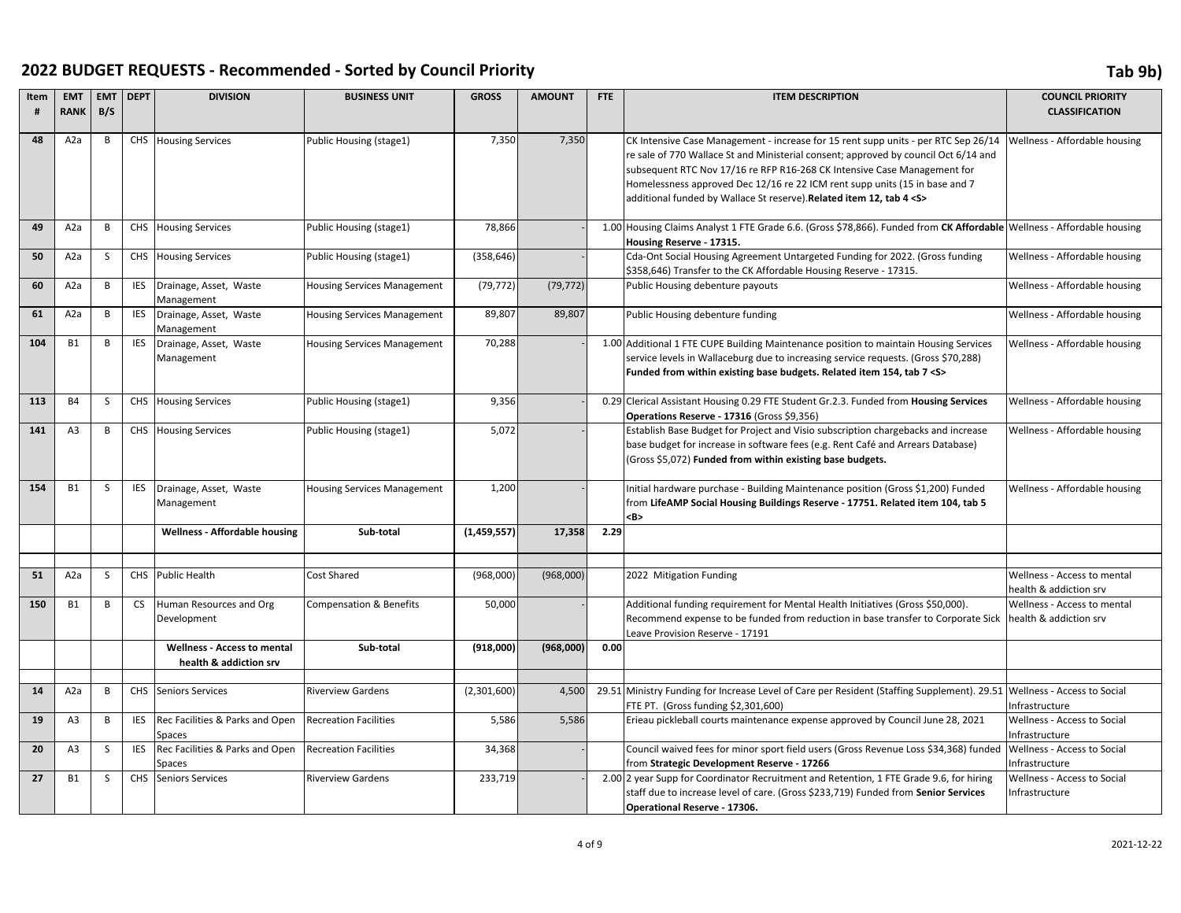| Item<br># | <b>EMT</b><br><b>RANK</b> | <b>EMT</b><br>B/S | <b>DEPT</b> | <b>DIVISION</b>                                              | <b>BUSINESS UNIT</b>               | <b>GROSS</b> | <b>AMOUNT</b> | FTE  | <b>ITEM DESCRIPTION</b>                                                                                                                                                                                                                                                                                                                                                                                          | <b>COUNCIL PRIORITY</b><br><b>CLASSIFICATION</b>      |
|-----------|---------------------------|-------------------|-------------|--------------------------------------------------------------|------------------------------------|--------------|---------------|------|------------------------------------------------------------------------------------------------------------------------------------------------------------------------------------------------------------------------------------------------------------------------------------------------------------------------------------------------------------------------------------------------------------------|-------------------------------------------------------|
| 48        | A2a                       | B                 |             | <b>CHS</b> Housing Services                                  | Public Housing (stage1)            | 7,350        | 7,350         |      | CK Intensive Case Management - increase for 15 rent supp units - per RTC Sep 26/14<br>re sale of 770 Wallace St and Ministerial consent; approved by council Oct 6/14 and<br>subsequent RTC Nov 17/16 re RFP R16-268 CK Intensive Case Management for<br>Homelessness approved Dec 12/16 re 22 ICM rent supp units (15 in base and 7<br>additional funded by Wallace St reserve). Related item 12, tab 4 <s></s> | Wellness - Affordable housing                         |
| 49        | A2a                       | B                 |             | <b>CHS</b> Housing Services                                  | Public Housing (stage1)            | 78,866       |               |      | 1.00 Housing Claims Analyst 1 FTE Grade 6.6. (Gross \$78,866). Funded from CK Affordable Wellness - Affordable housing<br>Housing Reserve - 17315.                                                                                                                                                                                                                                                               |                                                       |
| 50        | A <sub>2</sub> a          | S                 |             | CHS Housing Services                                         | Public Housing (stage1)            | (358, 646)   |               |      | Cda-Ont Social Housing Agreement Untargeted Funding for 2022. (Gross funding<br>\$358,646) Transfer to the CK Affordable Housing Reserve - 17315.                                                                                                                                                                                                                                                                | Wellness - Affordable housing                         |
| 60        | A2a                       | B                 | <b>IES</b>  | Drainage, Asset, Waste<br>Management                         | <b>Housing Services Management</b> | (79, 772)    | (79, 772)     |      | Public Housing debenture payouts                                                                                                                                                                                                                                                                                                                                                                                 | Wellness - Affordable housing                         |
| 61        | A <sub>2</sub> a          | B                 | <b>IES</b>  | Drainage, Asset, Waste<br>Management                         | <b>Housing Services Management</b> | 89,807       | 89,807        |      | Public Housing debenture funding                                                                                                                                                                                                                                                                                                                                                                                 | Wellness - Affordable housing                         |
| 104       | <b>B1</b>                 | B                 | <b>IES</b>  | Drainage, Asset, Waste<br>Management                         | <b>Housing Services Management</b> | 70,288       |               |      | 1.00 Additional 1 FTE CUPE Building Maintenance position to maintain Housing Services<br>service levels in Wallaceburg due to increasing service requests. (Gross \$70,288)<br>Funded from within existing base budgets. Related item 154, tab 7 < S>                                                                                                                                                            | Wellness - Affordable housing                         |
| 113       | <b>B4</b>                 | S                 |             | <b>CHS</b> Housing Services                                  | Public Housing (stage1)            | 9,356        |               |      | 0.29 Clerical Assistant Housing 0.29 FTE Student Gr.2.3. Funded from Housing Services<br>Operations Reserve - 17316 (Gross \$9,356)                                                                                                                                                                                                                                                                              | Wellness - Affordable housing                         |
| 141       | A <sub>3</sub>            | B                 |             | <b>CHS</b> Housing Services                                  | Public Housing (stage1)            | 5,072        |               |      | Establish Base Budget for Project and Visio subscription chargebacks and increase<br>base budget for increase in software fees (e.g. Rent Café and Arrears Database)<br>(Gross \$5,072) Funded from within existing base budgets.                                                                                                                                                                                | Wellness - Affordable housing                         |
| 154       | <b>B1</b>                 | S                 | <b>IES</b>  | Drainage, Asset, Waste<br>Management                         | <b>Housing Services Management</b> | 1,200        |               |      | Initial hardware purchase - Building Maintenance position (Gross \$1,200) Funded<br>from LifeAMP Social Housing Buildings Reserve - 17751. Related item 104, tab 5<br><b></b>                                                                                                                                                                                                                                    | Wellness - Affordable housing                         |
|           |                           |                   |             | <b>Wellness - Affordable housing</b>                         | Sub-total                          | (1,459,557)  | 17,358        | 2.29 |                                                                                                                                                                                                                                                                                                                                                                                                                  |                                                       |
| 51        | A <sub>2</sub> a          | S                 |             | CHS Public Health                                            | Cost Shared                        | (968,000)    | (968,000)     |      | 2022 Mitigation Funding                                                                                                                                                                                                                                                                                                                                                                                          | Wellness - Access to mental<br>health & addiction srv |
| 150       | <b>B1</b>                 | B                 | <b>CS</b>   | Human Resources and Org<br>Development                       | <b>Compensation &amp; Benefits</b> | 50,000       |               |      | Additional funding requirement for Mental Health Initiatives (Gross \$50,000).<br>Recommend expense to be funded from reduction in base transfer to Corporate Sick<br>Leave Provision Reserve - 17191                                                                                                                                                                                                            | Wellness - Access to mental<br>health & addiction srv |
|           |                           |                   |             | <b>Wellness - Access to mental</b><br>health & addiction srv | Sub-total                          | (918,000)    | (968,000)     | 0.00 |                                                                                                                                                                                                                                                                                                                                                                                                                  |                                                       |
|           |                           |                   |             |                                                              |                                    |              |               |      |                                                                                                                                                                                                                                                                                                                                                                                                                  |                                                       |
| 14        | A <sub>2</sub> a          | B                 |             | CHS Seniors Services                                         | <b>Riverview Gardens</b>           | (2,301,600)  | 4,500         |      | 29.51 Ministry Funding for Increase Level of Care per Resident (Staffing Supplement). 29.51 Wellness - Access to Social<br>FTE PT. (Gross funding \$2,301,600)                                                                                                                                                                                                                                                   | Infrastructure                                        |
| 19        | A <sub>3</sub>            | B                 | <b>IES</b>  | Rec Facilities & Parks and Open<br><b>Spaces</b>             | <b>Recreation Facilities</b>       | 5,586        | 5,586         |      | Erieau pickleball courts maintenance expense approved by Council June 28, 2021                                                                                                                                                                                                                                                                                                                                   | Wellness - Access to Social<br>Infrastructure         |
| 20        | A <sub>3</sub>            | S                 | <b>IES</b>  | Rec Facilities & Parks and Open<br>Spaces                    | <b>Recreation Facilities</b>       | 34,368       |               |      | Council waived fees for minor sport field users (Gross Revenue Loss \$34,368) funded<br>from Strategic Development Reserve - 17266                                                                                                                                                                                                                                                                               | Wellness - Access to Social<br>Infrastructure         |
| 27        | <b>B1</b>                 | S                 |             | CHS Seniors Services                                         | <b>Riverview Gardens</b>           | 233,719      |               |      | 2.00 2 year Supp for Coordinator Recruitment and Retention, 1 FTE Grade 9.6, for hiring<br>staff due to increase level of care. (Gross \$233,719) Funded from Senior Services<br>Operational Reserve - 17306.                                                                                                                                                                                                    | Wellness - Access to Social<br>Infrastructure         |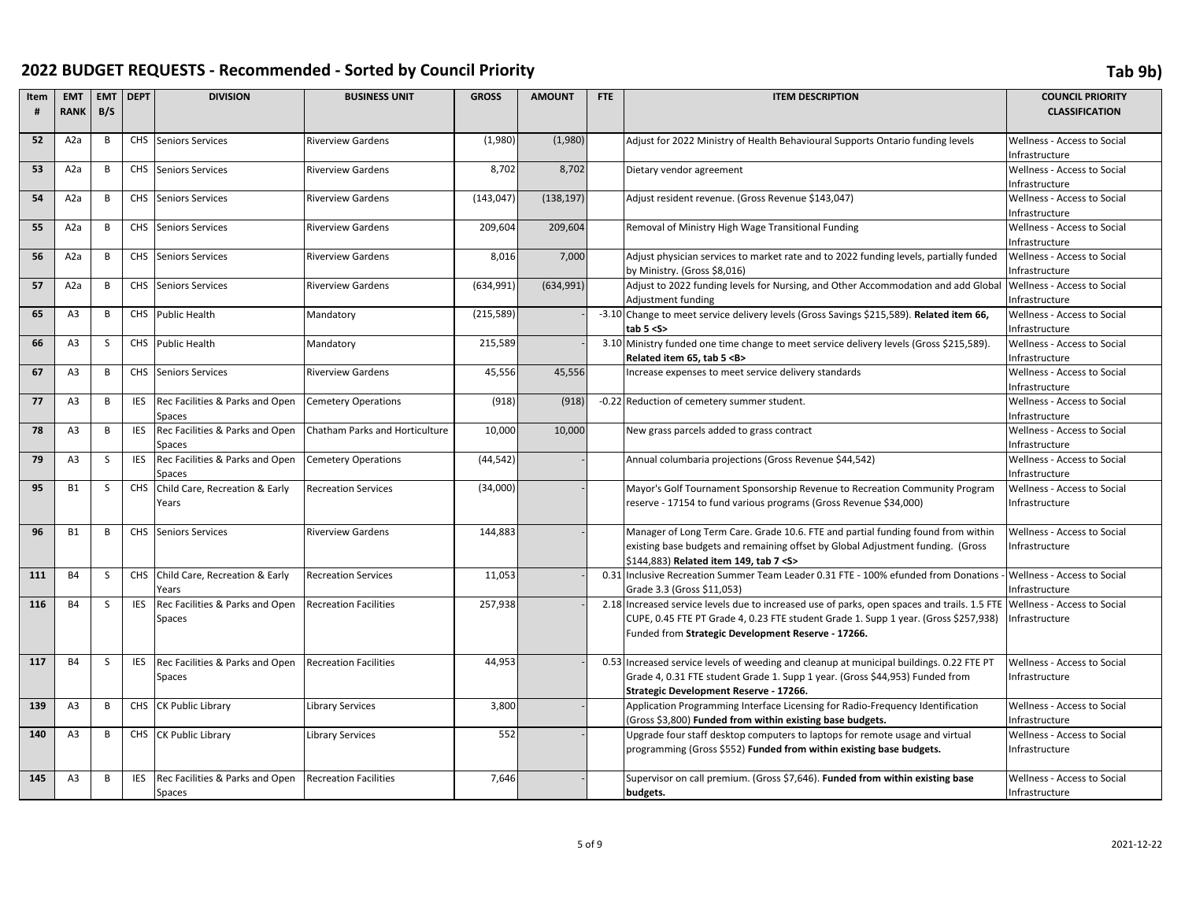| Item | <b>EMT</b>       | <b>EMT</b>     | <b>DEPT</b> | <b>DIVISION</b>                    | <b>BUSINESS UNIT</b>           | <b>GROSS</b> | <b>AMOUNT</b> | FTE  | <b>ITEM DESCRIPTION</b>                                                                      | <b>COUNCIL PRIORITY</b>            |
|------|------------------|----------------|-------------|------------------------------------|--------------------------------|--------------|---------------|------|----------------------------------------------------------------------------------------------|------------------------------------|
| #    | <b>RANK</b>      | B/S            |             |                                    |                                |              |               |      |                                                                                              | <b>CLASSIFICATION</b>              |
| 52   | A <sub>2</sub> a | $\overline{B}$ |             | CHS Seniors Services               | <b>Riverview Gardens</b>       | (1,980)      | (1,980)       |      | Adjust for 2022 Ministry of Health Behavioural Supports Ontario funding levels               | Wellness - Access to Social        |
|      |                  |                |             |                                    |                                |              |               |      |                                                                                              | Infrastructure                     |
| 53   | A <sub>2</sub> a | B              |             | CHS Seniors Services               | <b>Riverview Gardens</b>       | 8,702        | 8,702         |      | Dietary vendor agreement                                                                     | Wellness - Access to Social        |
|      |                  |                |             |                                    |                                |              |               |      |                                                                                              | nfrastructure                      |
| 54   | A <sub>2</sub> a | B              |             | CHS Seniors Services               | <b>Riverview Gardens</b>       | (143, 047)   | (138, 197)    |      | Adjust resident revenue. (Gross Revenue \$143,047)                                           | <b>Wellness - Access to Social</b> |
|      |                  |                |             |                                    |                                |              |               |      |                                                                                              | nfrastructure                      |
| 55   | A <sub>2</sub> a | B              |             | <b>CHS</b> Seniors Services        | <b>Riverview Gardens</b>       | 209,604      | 209,604       |      | Removal of Ministry High Wage Transitional Funding                                           | <b>Wellness - Access to Social</b> |
|      |                  |                |             |                                    |                                |              |               |      |                                                                                              | nfrastructure                      |
| 56   | A <sub>2</sub> a | B              |             | <b>CHS</b> Seniors Services        | <b>Riverview Gardens</b>       | 8,016        | 7,000         |      | Adjust physician services to market rate and to 2022 funding levels, partially funded        | Wellness - Access to Social        |
|      |                  |                |             |                                    |                                |              |               |      | by Ministry. (Gross \$8,016)                                                                 | Infrastructure                     |
| 57   | A <sub>2</sub> a | B              |             | CHS Seniors Services               | <b>Riverview Gardens</b>       | (634, 991)   | (634, 991)    |      | Adjust to 2022 funding levels for Nursing, and Other Accommodation and add Global            | Wellness - Access to Social        |
|      |                  |                |             |                                    |                                |              |               |      | Adjustment funding                                                                           | Infrastructure                     |
| 65   | A <sub>3</sub>   | B              |             | CHS Public Health                  | Mandatory                      | (215, 589)   |               |      | -3.10 Change to meet service delivery levels (Gross Savings \$215,589). Related item 66,     | Wellness - Access to Social        |
|      |                  |                |             |                                    |                                |              |               |      | tab $5 < S$                                                                                  | Infrastructure                     |
| 66   | A <sub>3</sub>   | <sub>S</sub>   |             | CHS Public Health                  | Mandatory                      | 215,589      |               |      | 3.10 Ministry funded one time change to meet service delivery levels (Gross \$215,589).      | Wellness - Access to Social        |
|      |                  |                |             |                                    |                                |              |               |      | Related item 65. tab 5 <b></b>                                                               | Infrastructure                     |
| 67   | A <sub>3</sub>   | B              |             | CHS Seniors Services               | <b>Riverview Gardens</b>       | 45,556       | 45,556        |      | Increase expenses to meet service delivery standards                                         | Wellness - Access to Social        |
|      |                  |                |             |                                    |                                |              |               |      |                                                                                              | Infrastructure                     |
| 77   | A <sub>3</sub>   | B              | <b>IES</b>  | Rec Facilities & Parks and Open    | <b>Cemetery Operations</b>     | (918)        | (918)         |      | -0.22 Reduction of cemetery summer student.                                                  | Wellness - Access to Social        |
|      |                  |                |             | Spaces                             |                                |              |               |      |                                                                                              | nfrastructure                      |
| 78   | A <sub>3</sub>   | B              | <b>IES</b>  | Rec Facilities & Parks and Open    | Chatham Parks and Horticulture | 10,000       | 10,000        |      | New grass parcels added to grass contract                                                    | Wellness - Access to Social        |
|      |                  |                |             | <b>Spaces</b>                      |                                |              |               |      |                                                                                              | nfrastructure                      |
| 79   | A <sub>3</sub>   | S              | <b>IES</b>  | Rec Facilities & Parks and Open    | <b>Cemetery Operations</b>     | (44, 542)    |               |      | Annual columbaria projections (Gross Revenue \$44,542)                                       | <b>Wellness - Access to Social</b> |
|      |                  |                |             | Spaces                             |                                |              |               |      |                                                                                              | Infrastructure                     |
| 95   | <b>B1</b>        | -S             |             | CHS Child Care, Recreation & Early | <b>Recreation Services</b>     | (34,000)     |               |      | Mayor's Golf Tournament Sponsorship Revenue to Recreation Community Program                  | Wellness - Access to Social        |
|      |                  |                |             | Years                              |                                |              |               |      | reserve - 17154 to fund various programs (Gross Revenue \$34,000)                            | Infrastructure                     |
| 96   | <b>B1</b>        | B              |             | <b>CHS</b> Seniors Services        | <b>Riverview Gardens</b>       | 144,883      |               |      | Manager of Long Term Care. Grade 10.6. FTE and partial funding found from within             | Wellness - Access to Social        |
|      |                  |                |             |                                    |                                |              |               |      | existing base budgets and remaining offset by Global Adjustment funding. (Gross              | Infrastructure                     |
|      |                  |                |             |                                    |                                |              |               |      | \$144,883) Related item 149, tab 7 < S>                                                      |                                    |
| 111  | <b>B4</b>        | S              |             | CHS Child Care, Recreation & Early | <b>Recreation Services</b>     | 11,053       |               | 0.31 | Inclusive Recreation Summer Team Leader 0.31 FTE - 100% efunded from Donations               | Wellness - Access to Social        |
|      |                  |                |             | Years                              |                                |              |               |      | Grade 3.3 (Gross \$11,053)                                                                   | Infrastructure                     |
| 116  | <b>B4</b>        | S              | <b>IES</b>  | Rec Facilities & Parks and Open    | <b>Recreation Facilities</b>   | 257,938      |               |      | 2.18 Increased service levels due to increased use of parks, open spaces and trails. 1.5 FTE | Wellness - Access to Social        |
|      |                  |                |             | Spaces                             |                                |              |               |      | CUPE, 0.45 FTE PT Grade 4, 0.23 FTE student Grade 1. Supp 1 year. (Gross \$257,938)          | Infrastructure                     |
|      |                  |                |             |                                    |                                |              |               |      | Funded from Strategic Development Reserve - 17266.                                           |                                    |
|      |                  |                |             |                                    |                                |              |               |      |                                                                                              |                                    |
| 117  | <b>B4</b>        | <sub>S</sub>   | <b>IES</b>  | Rec Facilities & Parks and Open    | <b>Recreation Facilities</b>   | 44,953       |               |      | 0.53 Increased service levels of weeding and cleanup at municipal buildings. 0.22 FTE PT     | Wellness - Access to Social        |
|      |                  |                |             | Spaces                             |                                |              |               |      | Grade 4, 0.31 FTE student Grade 1. Supp 1 year. (Gross \$44,953) Funded from                 | Infrastructure                     |
|      |                  |                |             |                                    |                                |              |               |      | Strategic Development Reserve - 17266.                                                       |                                    |
| 139  | A <sub>3</sub>   | B              |             | CHS CK Public Library              | Library Services               | 3,800        |               |      | Application Programming Interface Licensing for Radio-Frequency Identification               | Wellness - Access to Social        |
|      |                  |                |             |                                    |                                |              |               |      | (Gross \$3,800) Funded from within existing base budgets.                                    | Infrastructure                     |
| 140  | A <sub>3</sub>   | B              |             | CHS CK Public Library              | Library Services               | 552          |               |      | Upgrade four staff desktop computers to laptops for remote usage and virtual                 | Wellness - Access to Social        |
|      |                  |                |             |                                    |                                |              |               |      | programming (Gross \$552) Funded from within existing base budgets.                          | Infrastructure                     |
|      |                  |                |             |                                    |                                |              |               |      |                                                                                              |                                    |
| 145  | A <sub>3</sub>   | B              | <b>IES</b>  | Rec Facilities & Parks and Open    | <b>Recreation Facilities</b>   | 7,646        |               |      | Supervisor on call premium. (Gross \$7,646). Funded from within existing base                | Wellness - Access to Social        |
|      |                  |                |             | Spaces                             |                                |              |               |      | budgets.                                                                                     | Infrastructure                     |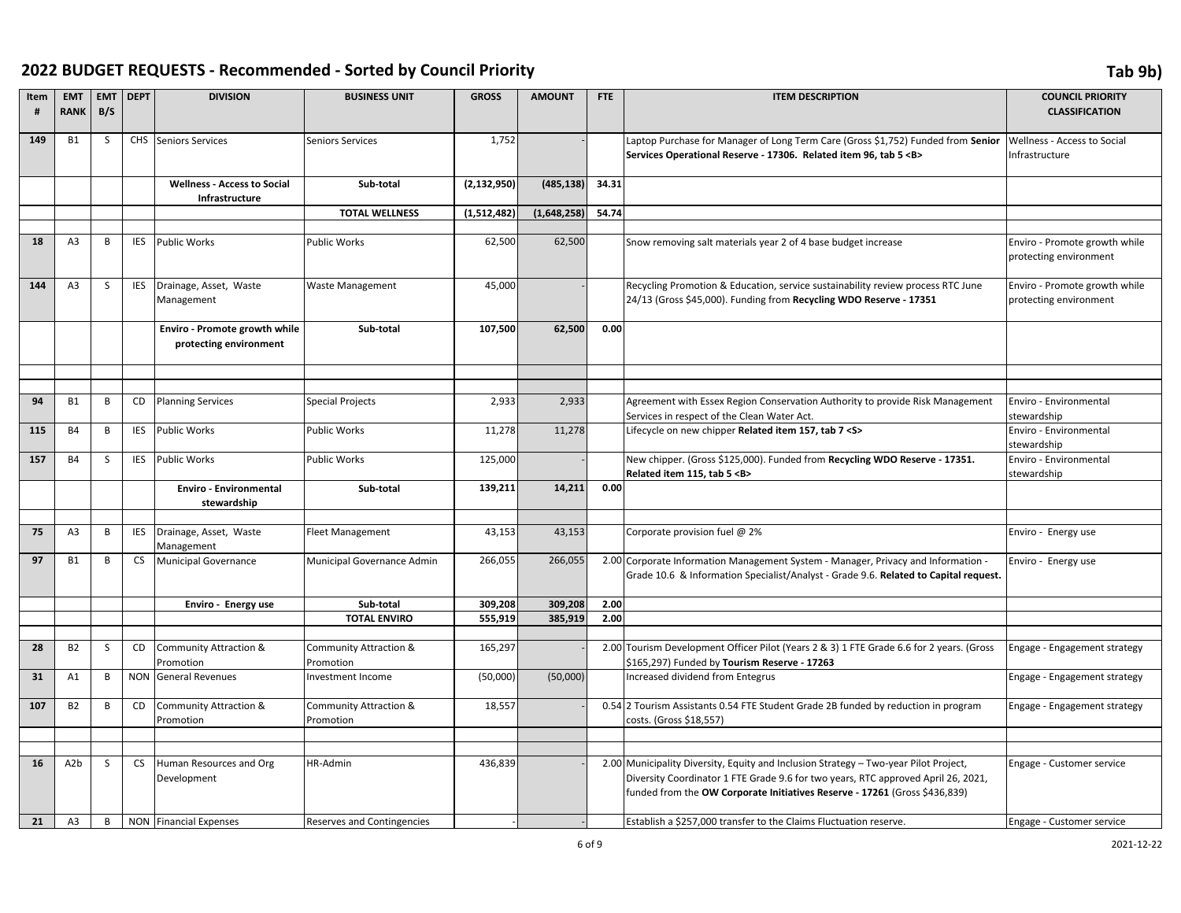| Item<br># | <b>EMT</b><br><b>RANK</b> | <b>EMT</b><br>B/S | <b>DEPT</b> | <b>DIVISION</b>                                         | <b>BUSINESS UNIT</b>                | <b>GROSS</b>  | <b>AMOUNT</b> | <b>FTE</b> | <b>ITEM DESCRIPTION</b>                                                                                                                                                                                                                                 | <b>COUNCIL PRIORITY</b><br><b>CLASSIFICATION</b>        |
|-----------|---------------------------|-------------------|-------------|---------------------------------------------------------|-------------------------------------|---------------|---------------|------------|---------------------------------------------------------------------------------------------------------------------------------------------------------------------------------------------------------------------------------------------------------|---------------------------------------------------------|
| 149       | <b>B1</b>                 | S                 | <b>CHS</b>  | Seniors Services                                        | <b>Seniors Services</b>             | 1,752         |               |            | Laptop Purchase for Manager of Long Term Care (Gross \$1,752) Funded from Senior<br>Services Operational Reserve - 17306. Related item 96, tab 5 < B>                                                                                                   | Wellness - Access to Social<br>Infrastructure           |
|           |                           |                   |             | <b>Wellness - Access to Social</b><br>Infrastructure    | Sub-total                           | (2, 132, 950) | (485, 138)    | 34.31      |                                                                                                                                                                                                                                                         |                                                         |
|           |                           |                   |             |                                                         | <b>TOTAL WELLNESS</b>               | (1,512,482)   | (1,648,258)   | 54.74      |                                                                                                                                                                                                                                                         |                                                         |
|           |                           |                   |             |                                                         |                                     |               |               |            |                                                                                                                                                                                                                                                         |                                                         |
| 18        | A <sub>3</sub>            | B                 | <b>IES</b>  | <b>Public Works</b>                                     | <b>Public Works</b>                 | 62,500        | 62,500        |            | Snow removing salt materials year 2 of 4 base budget increase                                                                                                                                                                                           | Enviro - Promote growth while<br>protecting environment |
| 144       | A <sub>3</sub>            | S                 | <b>IES</b>  | Drainage, Asset, Waste<br>Management                    | <b>Waste Management</b>             | 45,000        |               |            | Recycling Promotion & Education, service sustainability review process RTC June<br>24/13 (Gross \$45,000). Funding from Recycling WDO Reserve - 17351                                                                                                   | Enviro - Promote growth while<br>protecting environment |
|           |                           |                   |             | Enviro - Promote growth while<br>protecting environment | Sub-total                           | 107,500       | 62,500        | 0.00       |                                                                                                                                                                                                                                                         |                                                         |
|           |                           |                   |             |                                                         |                                     |               |               |            |                                                                                                                                                                                                                                                         |                                                         |
| 94        | <b>B1</b>                 | B                 | CD          | <b>Planning Services</b>                                | <b>Special Projects</b>             | 2,933         | 2,933         |            | Agreement with Essex Region Conservation Authority to provide Risk Management<br>Services in respect of the Clean Water Act.                                                                                                                            | Enviro - Environmental<br>stewardship                   |
| 115       | <b>B4</b>                 | B                 | <b>IES</b>  | <b>Public Works</b>                                     | <b>Public Works</b>                 | 11,278        | 11,278        |            | Lifecycle on new chipper Related item 157, tab 7 <s></s>                                                                                                                                                                                                | Enviro - Environmental<br>stewardship                   |
| 157       | <b>B4</b>                 | S                 | <b>IES</b>  | <b>Public Works</b>                                     | <b>Public Works</b>                 | 125,000       |               |            | New chipper. (Gross \$125,000). Funded from Recycling WDO Reserve - 17351.<br>Related item 115, tab 5 <b></b>                                                                                                                                           | Enviro - Environmental<br>stewardship                   |
|           |                           |                   |             | <b>Enviro - Environmental</b><br>stewardship            | Sub-total                           | 139,211       | 14,211        | 0.00       |                                                                                                                                                                                                                                                         |                                                         |
| 75        | A <sub>3</sub>            | B                 | <b>IES</b>  | Drainage, Asset, Waste<br>Management                    | Fleet Management                    | 43,153        | 43,153        |            | Corporate provision fuel @ 2%                                                                                                                                                                                                                           | Enviro - Energy use                                     |
| 97        | <b>B1</b>                 | В                 | <b>CS</b>   | <b>Municipal Governance</b>                             | Municipal Governance Admin          | 266,055       | 266,055       |            | 2.00 Corporate Information Management System - Manager, Privacy and Information -<br>Grade 10.6 & Information Specialist/Analyst - Grade 9.6. Related to Capital request.                                                                               | Enviro - Energy use                                     |
|           |                           |                   |             | Enviro - Energy use                                     | Sub-total                           | 309,208       | 309,208       | 2.00       |                                                                                                                                                                                                                                                         |                                                         |
|           |                           |                   |             |                                                         | <b>TOTAL ENVIRO</b>                 | 555,919       | 385,919       | 2.00       |                                                                                                                                                                                                                                                         |                                                         |
|           |                           |                   |             |                                                         |                                     |               |               |            |                                                                                                                                                                                                                                                         |                                                         |
| 28        | <b>B2</b>                 | S                 | <b>CD</b>   | Community Attraction &<br>Promotion                     | Community Attraction &<br>Promotion | 165,297       |               |            | 2.00 Tourism Development Officer Pilot (Years 2 & 3) 1 FTE Grade 6.6 for 2 years. (Gross<br>\$165,297) Funded by Tourism Reserve - 17263                                                                                                                | Engage - Engagement strategy                            |
| 31        | A1                        | B                 |             | NON General Revenues                                    | Investment Income                   | (50,000)      | (50,000)      |            | Increased dividend from Entegrus                                                                                                                                                                                                                        | Engage - Engagement strategy                            |
| 107       | <b>B2</b>                 | В                 | CD          | <b>Community Attraction &amp;</b><br>Promotion          | Community Attraction &<br>Promotion | 18,557        |               |            | 0.54 2 Tourism Assistants 0.54 FTE Student Grade 2B funded by reduction in program<br>costs. (Gross \$18,557)                                                                                                                                           | Engage - Engagement strategy                            |
|           |                           |                   |             |                                                         |                                     |               |               |            |                                                                                                                                                                                                                                                         |                                                         |
| 16        | A <sub>2</sub> b          | S                 | <b>CS</b>   | Human Resources and Org<br>Development                  | HR-Admin                            | 436,839       |               |            | 2.00 Municipality Diversity, Equity and Inclusion Strategy - Two-year Pilot Project,<br>Diversity Coordinator 1 FTE Grade 9.6 for two years, RTC approved April 26, 2021,<br>funded from the OW Corporate Initiatives Reserve - 17261 (Gross \$436,839) | Engage - Customer service                               |
| 21        | A3                        | B                 |             | <b>NON</b> Financial Expenses                           | <b>Reserves and Contingencies</b>   |               |               |            | Establish a \$257,000 transfer to the Claims Fluctuation reserve.                                                                                                                                                                                       | Engage - Customer service                               |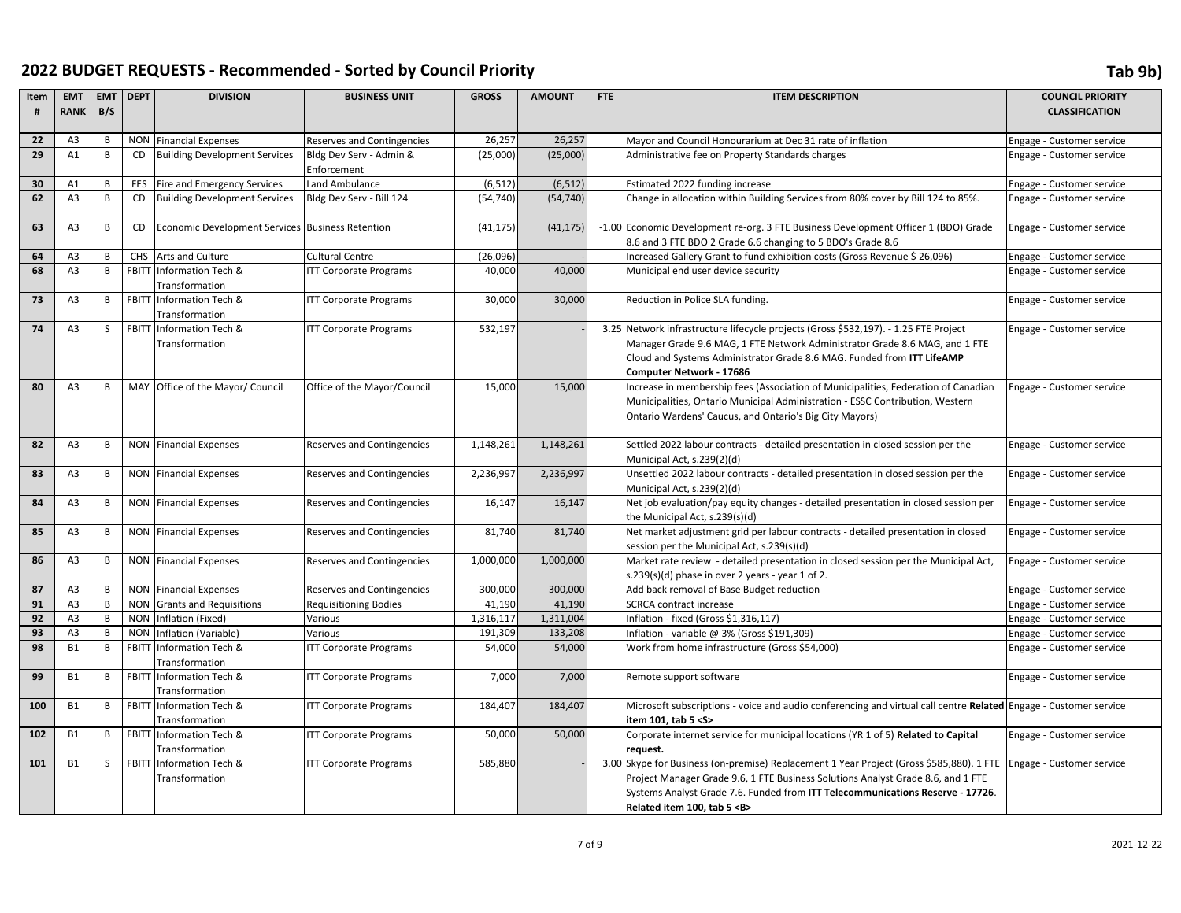| Item     | <b>EMT</b>                       | <b>EMT</b>     | <b>DEPT</b> | <b>DIVISION</b>                                   | <b>BUSINESS UNIT</b>              | <b>GROSS</b>         | <b>AMOUNT</b>        | FTE | <b>ITEM DESCRIPTION</b>                                                                                                                            | <b>COUNCIL PRIORITY</b>                                |
|----------|----------------------------------|----------------|-------------|---------------------------------------------------|-----------------------------------|----------------------|----------------------|-----|----------------------------------------------------------------------------------------------------------------------------------------------------|--------------------------------------------------------|
| #        | <b>RANK</b>                      | B/S            |             |                                                   |                                   |                      |                      |     |                                                                                                                                                    | <b>CLASSIFICATION</b>                                  |
| 22       | A <sub>3</sub>                   | $\overline{B}$ |             | <b>NON</b> Financial Expenses                     | <b>Reserves and Contingencies</b> | 26,257               | 26,257               |     | Mayor and Council Honourarium at Dec 31 rate of inflation                                                                                          | Engage - Customer service                              |
| 29       | A1                               | B              | <b>CD</b>   | <b>Building Development Services</b>              | Bldg Dev Serv - Admin &           | (25,000)             | (25,000)             |     | Administrative fee on Property Standards charges                                                                                                   | Engage - Customer service                              |
|          |                                  |                |             |                                                   | Enforcement                       |                      |                      |     |                                                                                                                                                    |                                                        |
| 30       | A1                               | B              | <b>FES</b>  | Fire and Emergency Services                       | Land Ambulance                    | (6, 512)             | (6, 512)             |     | Estimated 2022 funding increase                                                                                                                    | Engage - Customer service                              |
| 62       | A <sub>3</sub>                   | B              | <b>CD</b>   | <b>Building Development Services</b>              | Bldg Dev Serv - Bill 124          | (54, 740)            | (54, 740)            |     | Change in allocation within Building Services from 80% cover by Bill 124 to 85%.                                                                   | Engage - Customer service                              |
| 63       | A <sub>3</sub>                   | B              | <b>CD</b>   | Economic Development Services                     | <b>Business Retention</b>         | (41, 175)            | (41, 175)            |     | -1.00 Economic Development re-org. 3 FTE Business Development Officer 1 (BDO) Grade<br>8.6 and 3 FTE BDO 2 Grade 6.6 changing to 5 BDO's Grade 8.6 | Engage - Customer service                              |
| 64       | A <sub>3</sub>                   | B              |             | CHS Arts and Culture                              | Cultural Centre                   | (26,096)             |                      |     | Increased Gallery Grant to fund exhibition costs (Gross Revenue \$ 26,096)                                                                         | Engage - Customer service                              |
| 68       | A <sub>3</sub>                   | B              |             | FBITT Information Tech &                          | <b>ITT Corporate Programs</b>     | 40,000               | 40,000               |     | Municipal end user device security                                                                                                                 | Engage - Customer service                              |
|          |                                  |                |             | Transformation                                    |                                   |                      |                      |     |                                                                                                                                                    |                                                        |
| 73       | A <sub>3</sub>                   | B              |             | FBITT Information Tech &                          | <b>ITT Corporate Programs</b>     | 30,000               | 30,000               |     | Reduction in Police SLA funding.                                                                                                                   | Engage - Customer service                              |
|          |                                  |                |             | Transformation                                    |                                   |                      |                      |     |                                                                                                                                                    |                                                        |
| 74       | A <sub>3</sub>                   | <sub>S</sub>   |             | FBITT Information Tech &                          | <b>ITT Corporate Programs</b>     | 532,197              |                      |     | 3.25 Network infrastructure lifecycle projects (Gross \$532,197). - 1.25 FTE Project                                                               | Engage - Customer service                              |
|          |                                  |                |             | Transformation                                    |                                   |                      |                      |     | Manager Grade 9.6 MAG, 1 FTE Network Administrator Grade 8.6 MAG, and 1 FTE                                                                        |                                                        |
|          |                                  |                |             |                                                   |                                   |                      |                      |     | Cloud and Systems Administrator Grade 8.6 MAG. Funded from ITT LifeAMP                                                                             |                                                        |
| 80       | A <sub>3</sub>                   | B              |             | MAY Office of the Mayor/ Council                  | Office of the Mayor/Council       | 15,000               | 15,000               |     | Computer Network - 17686<br>Increase in membership fees (Association of Municipalities, Federation of Canadian                                     | Engage - Customer service                              |
|          |                                  |                |             |                                                   |                                   |                      |                      |     | Municipalities, Ontario Municipal Administration - ESSC Contribution, Western                                                                      |                                                        |
|          |                                  |                |             |                                                   |                                   |                      |                      |     | Ontario Wardens' Caucus, and Ontario's Big City Mayors)                                                                                            |                                                        |
|          |                                  |                |             |                                                   |                                   |                      |                      |     |                                                                                                                                                    |                                                        |
| 82       | A <sub>3</sub>                   | B              |             | <b>NON</b> Financial Expenses                     | <b>Reserves and Contingencies</b> | 1,148,261            | 1,148,261            |     | Settled 2022 labour contracts - detailed presentation in closed session per the                                                                    | Engage - Customer service                              |
|          |                                  |                |             |                                                   |                                   |                      |                      |     | Municipal Act, s.239(2)(d)                                                                                                                         |                                                        |
| 83       | A <sub>3</sub>                   | B              |             | <b>NON</b> Financial Expenses                     | <b>Reserves and Contingencies</b> | 2,236,997            | 2,236,997            |     | Unsettled 2022 labour contracts - detailed presentation in closed session per the                                                                  | Engage - Customer service                              |
|          |                                  |                |             |                                                   |                                   |                      |                      |     | Municipal Act, s.239(2)(d)                                                                                                                         |                                                        |
| 84       | A <sub>3</sub>                   | B              |             | <b>NON</b> Financial Expenses                     | <b>Reserves and Contingencies</b> | 16,147               | 16,147               |     | Net job evaluation/pay equity changes - detailed presentation in closed session per<br>the Municipal Act, s.239(s)(d)                              | Engage - Customer service                              |
| 85       | A <sub>3</sub>                   | B              |             | <b>NON</b> Financial Expenses                     | <b>Reserves and Contingencies</b> | 81,740               | 81,740               |     | Net market adjustment grid per labour contracts - detailed presentation in closed                                                                  | Engage - Customer service                              |
|          |                                  |                |             |                                                   |                                   |                      |                      |     | session per the Municipal Act, s.239(s)(d)                                                                                                         |                                                        |
| 86       | A <sub>3</sub>                   | B              |             | <b>NON</b> Financial Expenses                     | <b>Reserves and Contingencies</b> | 1,000,000            | 1,000,000            |     | Market rate review - detailed presentation in closed session per the Municipal Act,                                                                | Engage - Customer service                              |
|          |                                  |                |             |                                                   |                                   |                      |                      |     | s.239(s)(d) phase in over 2 years - year 1 of 2.                                                                                                   |                                                        |
| 87       | A <sub>3</sub>                   | B              |             | <b>NON</b> Financial Expenses                     | <b>Reserves and Contingencies</b> | 300,000              | 300,000              |     | Add back removal of Base Budget reduction                                                                                                          | Engage - Customer service                              |
| 91       | A <sub>3</sub>                   | B<br>B         |             | NON Grants and Requisitions                       | <b>Requisitioning Bodies</b>      | 41,190               | 41,190               |     | <b>SCRCA contract increase</b>                                                                                                                     | Engage - Customer service                              |
| 92<br>93 | A <sub>3</sub><br>A <sub>3</sub> | B              |             | NON Inflation (Fixed)<br>NON Inflation (Variable) | Various<br>Various                | 1,316,117<br>191,309 | 1,311,004<br>133,208 |     | Inflation - fixed (Gross \$1,316,117)<br>Inflation - variable @ 3% (Gross \$191,309)                                                               | Engage - Customer service<br>Engage - Customer service |
| 98       | <b>B1</b>                        | B              |             | <b>FBITT Information Tech &amp;</b>               | <b>ITT Corporate Programs</b>     | 54,000               | 54,000               |     | Work from home infrastructure (Gross \$54,000)                                                                                                     | Engage - Customer service                              |
|          |                                  |                |             | Transformation                                    |                                   |                      |                      |     |                                                                                                                                                    |                                                        |
| 99       | <b>B1</b>                        | B              |             | FBITT Information Tech &                          | <b>ITT Corporate Programs</b>     | 7,000                | 7,000                |     | Remote support software                                                                                                                            | Engage - Customer service                              |
|          |                                  |                |             | Transformation                                    |                                   |                      |                      |     |                                                                                                                                                    |                                                        |
| 100      | <b>B1</b>                        | B              |             | FBITT Information Tech &                          | <b>ITT Corporate Programs</b>     | 184,407              | 184,407              |     | Microsoft subscriptions - voice and audio conferencing and virtual call centre Related Engage - Customer service                                   |                                                        |
|          |                                  |                |             | Transformation                                    |                                   |                      |                      |     | item 101, tab 5 <s></s>                                                                                                                            |                                                        |
| 102      | <b>B1</b>                        | B              |             | FBITT Information Tech &                          | <b>ITT Corporate Programs</b>     | 50,000               | 50,000               |     | Corporate internet service for municipal locations (YR 1 of 5) Related to Capital                                                                  | Engage - Customer service                              |
|          |                                  |                |             | Transformation                                    |                                   |                      |                      |     | request.                                                                                                                                           |                                                        |
| 101      | <b>B1</b>                        | <sub>S</sub>   |             | FBITT Information Tech &                          | <b>ITT Corporate Programs</b>     | 585,880              |                      |     | 3.00 Skype for Business (on-premise) Replacement 1 Year Project (Gross \$585,880). 1 FTE                                                           | Engage - Customer service                              |
|          |                                  |                |             | Transformation                                    |                                   |                      |                      |     | Project Manager Grade 9.6, 1 FTE Business Solutions Analyst Grade 8.6, and 1 FTE                                                                   |                                                        |
|          |                                  |                |             |                                                   |                                   |                      |                      |     | Systems Analyst Grade 7.6. Funded from ITT Telecommunications Reserve - 17726.                                                                     |                                                        |
|          |                                  |                |             |                                                   |                                   |                      |                      |     | Related item 100, tab 5 <b></b>                                                                                                                    |                                                        |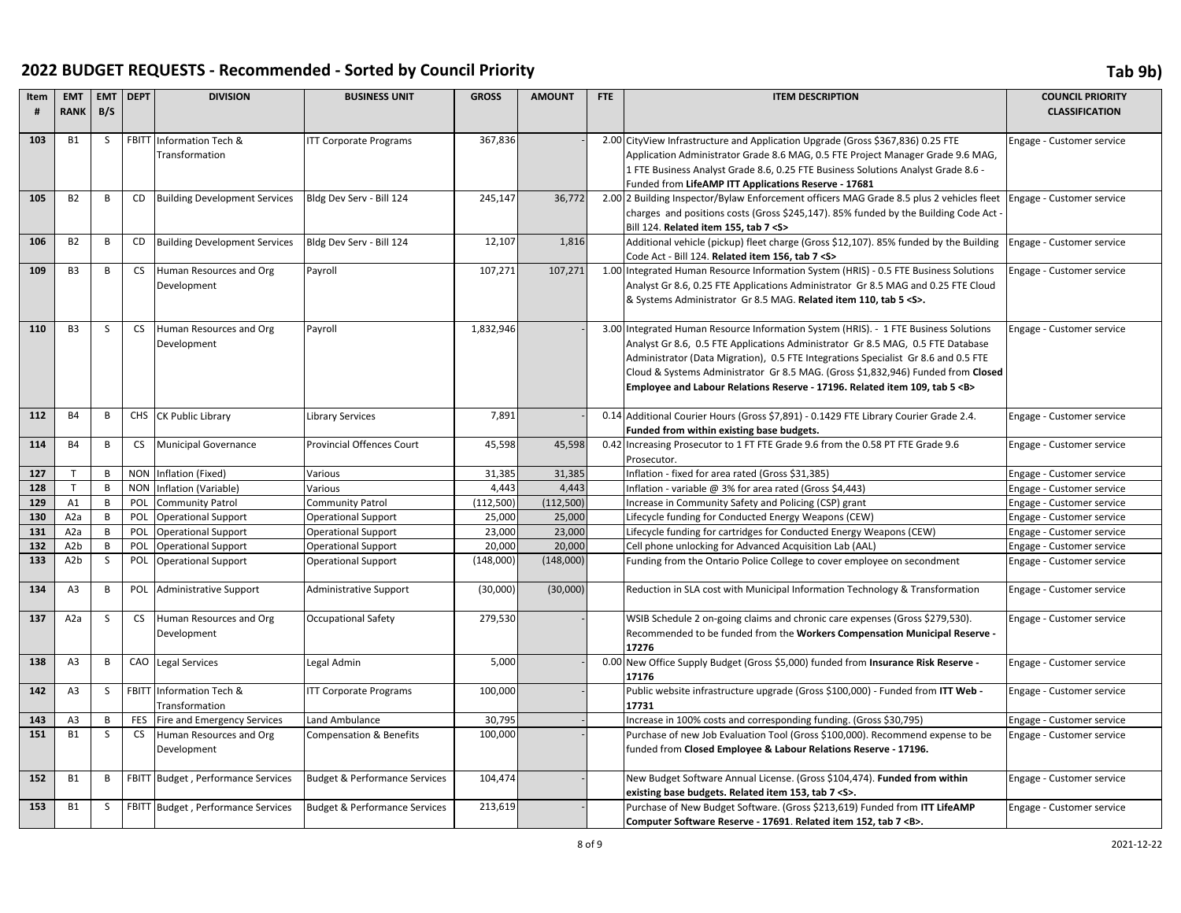| Item       | <b>EMT</b>       | <b>EMT</b>   | <b>DEPT</b> | <b>DIVISION</b>                      | <b>BUSINESS UNIT</b>                     | <b>GROSS</b> | <b>AMOUNT</b> | <b>FTE</b> | <b>ITEM DESCRIPTION</b>                                                                                                                                                    | <b>COUNCIL PRIORITY</b>   |
|------------|------------------|--------------|-------------|--------------------------------------|------------------------------------------|--------------|---------------|------------|----------------------------------------------------------------------------------------------------------------------------------------------------------------------------|---------------------------|
| #          | <b>RANK</b>      | B/S          |             |                                      |                                          |              |               |            |                                                                                                                                                                            | <b>CLASSIFICATION</b>     |
|            |                  |              |             |                                      |                                          |              |               |            |                                                                                                                                                                            |                           |
| 103        | <b>B1</b>        | <sub>S</sub> |             | FBITT Information Tech &             | <b>ITT Corporate Programs</b>            | 367,836      |               |            | 2.00 CityView Infrastructure and Application Upgrade (Gross \$367,836) 0.25 FTE                                                                                            | Engage - Customer service |
|            |                  |              |             | Transformation                       |                                          |              |               |            | Application Administrator Grade 8.6 MAG, 0.5 FTE Project Manager Grade 9.6 MAG,                                                                                            |                           |
|            |                  |              |             |                                      |                                          |              |               |            | 1 FTE Business Analyst Grade 8.6, 0.25 FTE Business Solutions Analyst Grade 8.6 -                                                                                          |                           |
|            |                  |              |             |                                      |                                          |              |               |            | Funded from LifeAMP ITT Applications Reserve - 17681                                                                                                                       |                           |
| 105        | <b>B2</b>        | B            | CD          | <b>Building Development Services</b> | Bldg Dev Serv - Bill 124                 | 245,147      | 36,772        |            | 2.00 2 Building Inspector/Bylaw Enforcement officers MAG Grade 8.5 plus 2 vehicles fleet                                                                                   | Engage - Customer service |
|            |                  |              |             |                                      |                                          |              |               |            | charges and positions costs (Gross \$245,147). 85% funded by the Building Code Act -                                                                                       |                           |
|            |                  |              |             |                                      |                                          |              |               |            | Bill 124. Related item 155, tab 7 < S>                                                                                                                                     |                           |
| 106        | <b>B2</b>        | B            | <b>CD</b>   | <b>Building Development Services</b> | Bldg Dev Serv - Bill 124                 | 12,107       | 1,816         |            | Additional vehicle (pickup) fleet charge (Gross \$12,107). 85% funded by the Building                                                                                      | Engage - Customer service |
| 109        | B <sub>3</sub>   | B            | <b>CS</b>   |                                      |                                          | 107,271      | 107,271       |            | Code Act - Bill 124. Related item 156, tab 7 <s></s>                                                                                                                       |                           |
|            |                  |              |             | Human Resources and Org              | Payroll                                  |              |               |            | 1.00 Integrated Human Resource Information System (HRIS) - 0.5 FTE Business Solutions<br>Analyst Gr 8.6, 0.25 FTE Applications Administrator Gr 8.5 MAG and 0.25 FTE Cloud | Engage - Customer service |
|            |                  |              |             | Development                          |                                          |              |               |            | & Systems Administrator Gr 8.5 MAG. Related item 110, tab 5 < S>.                                                                                                          |                           |
|            |                  |              |             |                                      |                                          |              |               |            |                                                                                                                                                                            |                           |
| 110        | B <sub>3</sub>   | S            | <b>CS</b>   | Human Resources and Org              | Payroll                                  | 1,832,946    |               |            | 3.00 Integrated Human Resource Information System (HRIS). - 1 FTE Business Solutions                                                                                       | Engage - Customer service |
|            |                  |              |             | Development                          |                                          |              |               |            | Analyst Gr 8.6, 0.5 FTE Applications Administrator Gr 8.5 MAG, 0.5 FTE Database                                                                                            |                           |
|            |                  |              |             |                                      |                                          |              |               |            | Administrator (Data Migration), 0.5 FTE Integrations Specialist Gr 8.6 and 0.5 FTE                                                                                         |                           |
|            |                  |              |             |                                      |                                          |              |               |            | Cloud & Systems Administrator Gr 8.5 MAG. (Gross \$1,832,946) Funded from Closed                                                                                           |                           |
|            |                  |              |             |                                      |                                          |              |               |            | Employee and Labour Relations Reserve - 17196. Related item 109, tab 5 <b></b>                                                                                             |                           |
|            |                  |              |             |                                      |                                          |              |               |            |                                                                                                                                                                            |                           |
| 112        | <b>B4</b>        | B            |             | CHS CK Public Library                | <b>Library Services</b>                  | 7,891        |               |            | 0.14 Additional Courier Hours (Gross \$7,891) - 0.1429 FTE Library Courier Grade 2.4.                                                                                      | Engage - Customer service |
|            |                  |              |             |                                      |                                          |              |               |            | Funded from within existing base budgets.                                                                                                                                  |                           |
| 114        | <b>B4</b>        | B            | <b>CS</b>   | <b>Municipal Governance</b>          | <b>Provincial Offences Court</b>         | 45,598       | 45,598        |            | 0.42 Increasing Prosecutor to 1 FT FTE Grade 9.6 from the 0.58 PT FTE Grade 9.6                                                                                            | Engage - Customer service |
|            |                  |              |             |                                      |                                          |              |               |            | Prosecutor.                                                                                                                                                                |                           |
| 127        | T                | B            |             | NON Inflation (Fixed)                | Various                                  | 31,385       | 31,385        |            | Inflation - fixed for area rated (Gross \$31,385)                                                                                                                          | Engage - Customer service |
| 128        | T                | B            | <b>NON</b>  | Inflation (Variable)                 | Various                                  | 4,443        | 4,443         |            | Inflation - variable @ 3% for area rated (Gross \$4,443)                                                                                                                   | Engage - Customer service |
| 129        | A1               | B            | POL         | Community Patrol                     | Community Patrol                         | (112, 500)   | (112, 500)    |            | Increase in Community Safety and Policing (CSP) grant                                                                                                                      | Engage - Customer service |
| 130        | A <sub>2</sub> a | B            | POL         | <b>Operational Support</b>           | <b>Operational Support</b>               | 25,000       | 25,000        |            | Lifecycle funding for Conducted Energy Weapons (CEW)                                                                                                                       | Engage - Customer service |
| 131        | A2a              | B            | POL         | <b>Operational Support</b>           | <b>Operational Support</b>               | 23,000       | 23,000        |            | Lifecycle funding for cartridges for Conducted Energy Weapons (CEW)                                                                                                        | Engage - Customer service |
| 132<br>133 | A <sub>2</sub> b | B            | POL         | <b>Operational Support</b>           | <b>Operational Support</b>               | 20,000       | 20,000        |            | Cell phone unlocking for Advanced Acquisition Lab (AAL)                                                                                                                    | Engage - Customer service |
|            | A <sub>2</sub> b | S            | POL         | <b>Operational Support</b>           | <b>Operational Support</b>               | (148,000)    | (148,000)     |            | Funding from the Ontario Police College to cover employee on secondment                                                                                                    | Engage - Customer service |
| 134        | A <sub>3</sub>   | B            |             | POL Administrative Support           | Administrative Support                   | (30,000)     | (30,000)      |            | Reduction in SLA cost with Municipal Information Technology & Transformation                                                                                               | Engage - Customer service |
|            |                  |              |             |                                      |                                          |              |               |            |                                                                                                                                                                            |                           |
| 137        | A <sub>2</sub> a | S            | <b>CS</b>   | Human Resources and Org              | <b>Occupational Safety</b>               | 279,530      |               |            | WSIB Schedule 2 on-going claims and chronic care expenses (Gross \$279,530).                                                                                               | Engage - Customer service |
|            |                  |              |             | Development                          |                                          |              |               |            | Recommended to be funded from the Workers Compensation Municipal Reserve -                                                                                                 |                           |
|            |                  |              |             |                                      |                                          |              |               |            | 17276                                                                                                                                                                      |                           |
| 138        | A3               | B            |             | CAO Legal Services                   | Legal Admin                              | 5,000        |               |            | 0.00 New Office Supply Budget (Gross \$5,000) funded from Insurance Risk Reserve -<br>17176                                                                                | Engage - Customer service |
| 142        | A <sub>3</sub>   | <sub>S</sub> |             | FBITT Information Tech &             | <b>ITT Corporate Programs</b>            | 100,000      |               |            | Public website infrastructure upgrade (Gross \$100,000) - Funded from ITT Web -                                                                                            | Engage - Customer service |
|            |                  |              |             | Transformation                       |                                          |              |               |            | 17731                                                                                                                                                                      |                           |
| 143        | A3               | B            | FES         | Fire and Emergency Services          | Land Ambulance                           | 30,795       |               |            | Increase in 100% costs and corresponding funding. (Gross \$30,795)                                                                                                         | Engage - Customer service |
| 151        | <b>B1</b>        | S            | CS          | Human Resources and Org              | Compensation & Benefits                  | 100,000      |               |            | Purchase of new Job Evaluation Tool (Gross \$100,000). Recommend expense to be                                                                                             | Engage - Customer service |
|            |                  |              |             | Development                          |                                          |              |               |            | funded from Closed Employee & Labour Relations Reserve - 17196.                                                                                                            |                           |
|            |                  |              |             |                                      |                                          |              |               |            |                                                                                                                                                                            |                           |
| 152        | <b>B1</b>        | В            |             | FBITT Budget, Performance Services   | <b>Budget &amp; Performance Services</b> | 104,474      |               |            | New Budget Software Annual License. (Gross \$104,474). Funded from within                                                                                                  | Engage - Customer service |
|            |                  |              |             |                                      |                                          |              |               |            | existing base budgets. Related item 153, tab 7 <s>.</s>                                                                                                                    |                           |
| 153        | <b>B1</b>        | <sub>S</sub> |             | FBITT Budget, Performance Services   | <b>Budget &amp; Performance Services</b> | 213,619      |               |            | Purchase of New Budget Software. (Gross \$213,619) Funded from ITT LifeAMP                                                                                                 | Engage - Customer service |
|            |                  |              |             |                                      |                                          |              |               |            | Computer Software Reserve - 17691. Related item 152, tab 7 <b>.</b>                                                                                                        |                           |